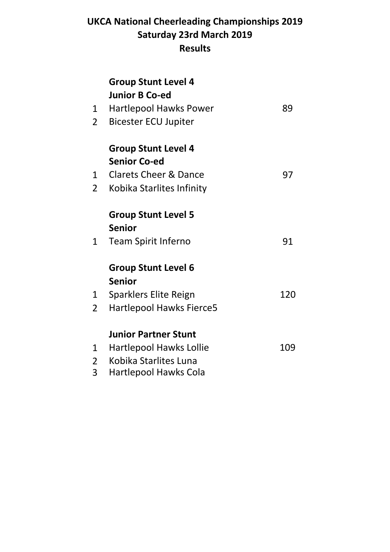## **UKCA National Cheerleading Championships 2019 Saturday 23rd March 2019 Results**

|                 | <b>Group Stunt Level 4</b><br><b>Junior B Co-ed</b> |     |
|-----------------|-----------------------------------------------------|-----|
| 1               | <b>Hartlepool Hawks Power</b>                       | 89  |
| $\overline{2}$  | <b>Bicester ECU Jupiter</b>                         |     |
|                 | <b>Group Stunt Level 4</b>                          |     |
|                 | <b>Senior Co-ed</b>                                 |     |
| 1               | <b>Clarets Cheer &amp; Dance</b>                    | 97  |
| $\overline{2}$  | Kobika Starlites Infinity                           |     |
|                 | <b>Group Stunt Level 5</b>                          |     |
|                 | <b>Senior</b>                                       |     |
| $1\overline{ }$ | <b>Team Spirit Inferno</b>                          | 91  |
|                 | <b>Group Stunt Level 6</b>                          |     |
|                 | <b>Senior</b>                                       |     |
| 1               | <b>Sparklers Elite Reign</b>                        | 120 |
| $\overline{2}$  | <b>Hartlepool Hawks Fierce5</b>                     |     |
|                 | <b>Junior Partner Stunt</b>                         |     |
| 1               | <b>Hartlepool Hawks Lollie</b>                      | 109 |
| $\overline{2}$  | Kobika Starlites Luna                               |     |
| 3               | <b>Hartlepool Hawks Cola</b>                        |     |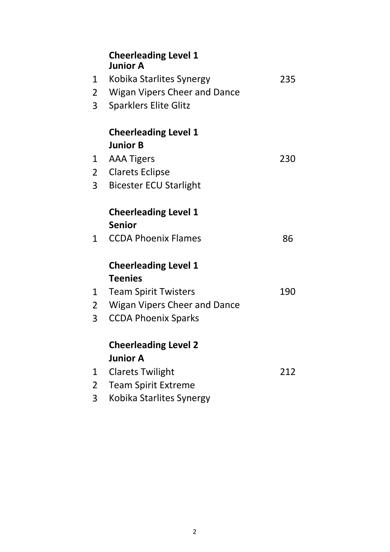|                | <b>Cheerleading Level 1</b><br><b>Junior A</b> |     |
|----------------|------------------------------------------------|-----|
| 1              | Kobika Starlites Synergy                       | 235 |
| 2              | <b>Wigan Vipers Cheer and Dance</b>            |     |
| 3              | <b>Sparklers Elite Glitz</b>                   |     |
|                | <b>Cheerleading Level 1</b>                    |     |
|                | <b>Junior B</b>                                |     |
| 1              | <b>AAA Tigers</b>                              | 230 |
| 2              | <b>Clarets Eclipse</b>                         |     |
| 3              | <b>Bicester ECU Starlight</b>                  |     |
|                | <b>Cheerleading Level 1</b><br><b>Senior</b>   |     |
| 1              | <b>CCDA Phoenix Flames</b>                     | 86  |
|                | <b>Cheerleading Level 1</b>                    |     |
|                | <b>Teenies</b>                                 |     |
| 1              | <b>Team Spirit Twisters</b>                    | 190 |
| 2              | <b>Wigan Vipers Cheer and Dance</b>            |     |
| 3              | <b>CCDA Phoenix Sparks</b>                     |     |
|                | <b>Cheerleading Level 2</b>                    |     |
|                | <b>Junior A</b>                                |     |
| 1              | <b>Clarets Twilight</b>                        | 212 |
| $\overline{2}$ | <b>Team Spirit Extreme</b>                     |     |
| 3              | Kobika Starlites Synergy                       |     |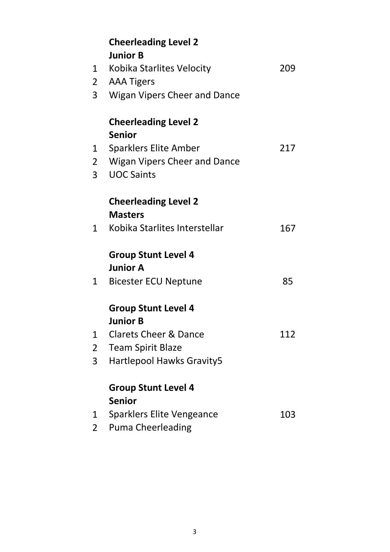|                | <b>Cheerleading Level 2</b>         |     |
|----------------|-------------------------------------|-----|
|                | <b>Junior B</b>                     |     |
|                | 1 Kobika Starlites Velocity         | 209 |
| $2 \Box$       | <b>AAA Tigers</b>                   |     |
| 3              | Wigan Vipers Cheer and Dance        |     |
|                | <b>Cheerleading Level 2</b>         |     |
|                | <b>Senior</b>                       |     |
| 1              | <b>Sparklers Elite Amber</b>        | 217 |
| $\overline{2}$ | <b>Wigan Vipers Cheer and Dance</b> |     |
| 3              | <b>UOC Saints</b>                   |     |
|                | <b>Cheerleading Level 2</b>         |     |
|                | <b>Masters</b>                      |     |
| $1 \quad$      | Kobika Starlites Interstellar       | 167 |
|                | <b>Group Stunt Level 4</b>          |     |
|                | <b>Junior A</b>                     |     |
| $1 \quad$      | <b>Bicester ECU Neptune</b>         | 85  |
|                | <b>Group Stunt Level 4</b>          |     |
|                | <b>Junior B</b>                     |     |
| 1              | <b>Clarets Cheer &amp; Dance</b>    | 112 |
| 2              | <b>Team Spirit Blaze</b>            |     |
| 3              | Hartlepool Hawks Gravity5           |     |
|                | <b>Group Stunt Level 4</b>          |     |
|                | <b>Senior</b>                       |     |
| 1              | <b>Sparklers Elite Vengeance</b>    | 103 |
| 2              | <b>Puma Cheerleading</b>            |     |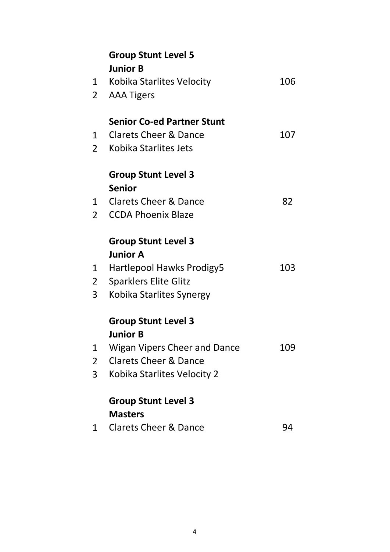|                | <b>Group Stunt Level 5</b><br><b>Junior B</b> |     |
|----------------|-----------------------------------------------|-----|
| $\mathbf{1}$   | Kobika Starlites Velocity                     | 106 |
| $\overline{2}$ | <b>AAA Tigers</b>                             |     |
|                | <b>Senior Co-ed Partner Stunt</b>             |     |
| 1              | <b>Clarets Cheer &amp; Dance</b>              | 107 |
| $\overline{2}$ | Kobika Starlites Jets                         |     |
|                | <b>Group Stunt Level 3</b>                    |     |
|                | <b>Senior</b>                                 |     |
| 1              | <b>Clarets Cheer &amp; Dance</b>              | 82  |
| $\overline{2}$ | <b>CCDA Phoenix Blaze</b>                     |     |
|                | <b>Group Stunt Level 3</b>                    |     |
|                | <b>Junior A</b>                               |     |
| 1              | <b>Hartlepool Hawks Prodigy5</b>              | 103 |
| $\overline{2}$ | <b>Sparklers Elite Glitz</b>                  |     |
| 3              | Kobika Starlites Synergy                      |     |
|                | <b>Group Stunt Level 3</b>                    |     |
|                | <b>Junior B</b>                               |     |
| 1              | <b>Wigan Vipers Cheer and Dance</b>           | 109 |
| 2              | <b>Clarets Cheer &amp; Dance</b>              |     |
| 3              | Kobika Starlites Velocity 2                   |     |
|                | <b>Group Stunt Level 3</b>                    |     |
|                | <b>Masters</b>                                |     |
| 1              | <b>Clarets Cheer &amp; Dance</b>              | 94  |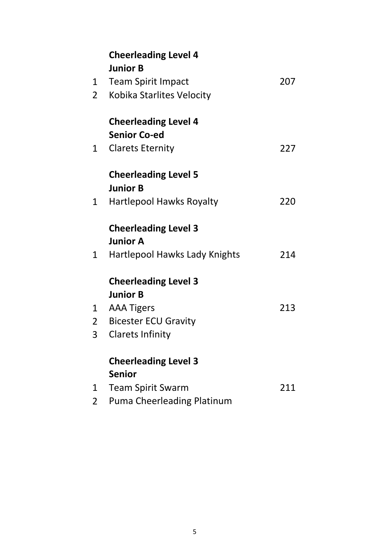|              | <b>Cheerleading Level 4</b>       |     |
|--------------|-----------------------------------|-----|
|              | <b>Junior B</b>                   |     |
| $1 \quad$    | <b>Team Spirit Impact</b>         | 207 |
| $\mathbf{2}$ | Kobika Starlites Velocity         |     |
|              | <b>Cheerleading Level 4</b>       |     |
|              | <b>Senior Co-ed</b>               |     |
|              | 1 Clarets Eternity                | 227 |
|              | <b>Cheerleading Level 5</b>       |     |
|              | <b>Junior B</b>                   |     |
| $1 \quad$    | <b>Hartlepool Hawks Royalty</b>   | 220 |
|              | <b>Cheerleading Level 3</b>       |     |
|              | <b>Junior A</b>                   |     |
| $1 \quad$    | Hartlepool Hawks Lady Knights     | 214 |
|              | <b>Cheerleading Level 3</b>       |     |
|              | <b>Junior B</b>                   |     |
| $1 \quad$    | <b>AAA Tigers</b>                 | 213 |
| $2 \Box$     | <b>Bicester ECU Gravity</b>       |     |
| 3            | <b>Clarets Infinity</b>           |     |
|              | <b>Cheerleading Level 3</b>       |     |
|              | <b>Senior</b>                     |     |
| 1            | <b>Team Spirit Swarm</b>          | 211 |
| 2            | <b>Puma Cheerleading Platinum</b> |     |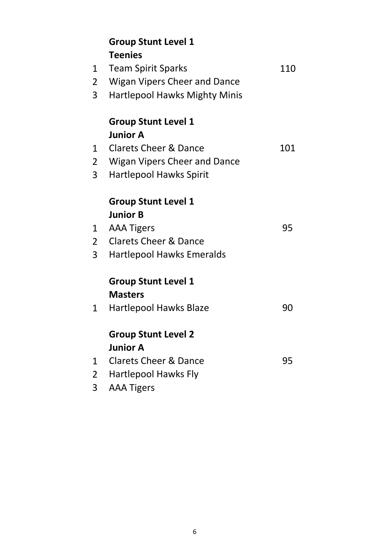|                | <b>Group Stunt Level 1</b>           |     |
|----------------|--------------------------------------|-----|
|                | <b>Teenies</b>                       |     |
| 1              | <b>Team Spirit Sparks</b>            | 110 |
| $\overline{2}$ | <b>Wigan Vipers Cheer and Dance</b>  |     |
| 3              | <b>Hartlepool Hawks Mighty Minis</b> |     |
|                | <b>Group Stunt Level 1</b>           |     |
|                | <b>Junior A</b>                      |     |
| 1              | <b>Clarets Cheer &amp; Dance</b>     | 101 |
| $\overline{2}$ | <b>Wigan Vipers Cheer and Dance</b>  |     |
| 3              | <b>Hartlepool Hawks Spirit</b>       |     |
|                | <b>Group Stunt Level 1</b>           |     |
|                | <b>Junior B</b>                      |     |
| 1              | <b>AAA Tigers</b>                    | 95  |
|                | 2 Clarets Cheer & Dance              |     |
| 3              | Hartlepool Hawks Emeralds            |     |
|                | <b>Group Stunt Level 1</b>           |     |
|                | <b>Masters</b>                       |     |
| 1              | <b>Hartlepool Hawks Blaze</b>        | 90  |
|                | <b>Group Stunt Level 2</b>           |     |
|                | <b>Junior A</b>                      |     |
| 1              | <b>Clarets Cheer &amp; Dance</b>     | 95  |
| 2              | <b>Hartlepool Hawks Fly</b>          |     |
| 3              | <b>AAA Tigers</b>                    |     |
|                |                                      |     |